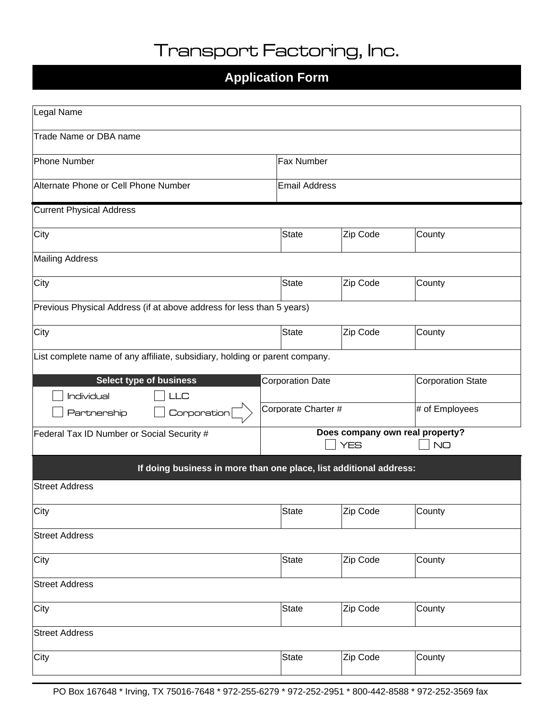# Transport Factoring, Inc.

### **Application Form**

| Legal Name                                                                  |                         |                   |                                 |  |  |
|-----------------------------------------------------------------------------|-------------------------|-------------------|---------------------------------|--|--|
| Trade Name or DBA name                                                      |                         |                   |                                 |  |  |
|                                                                             |                         |                   |                                 |  |  |
| Phone Number                                                                |                         | <b>Fax Number</b> |                                 |  |  |
| Alternate Phone or Cell Phone Number                                        | <b>Email Address</b>    |                   |                                 |  |  |
| <b>Current Physical Address</b>                                             |                         |                   |                                 |  |  |
| City                                                                        | <b>State</b>            | Zip Code          | County                          |  |  |
| Mailing Address                                                             |                         |                   |                                 |  |  |
| City                                                                        | <b>State</b>            | Zip Code          | County                          |  |  |
| Previous Physical Address (if at above address for less than 5 years)       |                         |                   |                                 |  |  |
| City                                                                        | State                   | Zip Code          | County                          |  |  |
| List complete name of any affiliate, subsidiary, holding or parent company. |                         |                   |                                 |  |  |
| <b>Select type of business</b>                                              | <b>Corporation Date</b> |                   | <b>Corporation State</b>        |  |  |
| <b>Individual</b><br>LLC                                                    |                         |                   |                                 |  |  |
| Corporation<br>Partnership                                                  | Corporate Charter #     |                   | # of Employees                  |  |  |
| Federal Tax ID Number or Social Security #                                  |                         |                   | Does company own real property? |  |  |
|                                                                             |                         | <b>YES</b>        | <b>NO</b>                       |  |  |
| If doing business in more than one place, list additional address:          |                         |                   |                                 |  |  |
| <b>Street Address</b>                                                       |                         |                   |                                 |  |  |
| City                                                                        | <b>State</b>            | Zip Code          | County                          |  |  |
| <b>Street Address</b>                                                       |                         |                   |                                 |  |  |
| City                                                                        | State                   | Zip Code          | County                          |  |  |
| <b>Street Address</b>                                                       |                         |                   |                                 |  |  |
| City                                                                        | <b>State</b>            | Zip Code          | County                          |  |  |
| <b>Street Address</b>                                                       |                         |                   |                                 |  |  |
| City                                                                        | <b>State</b>            | Zip Code          | County                          |  |  |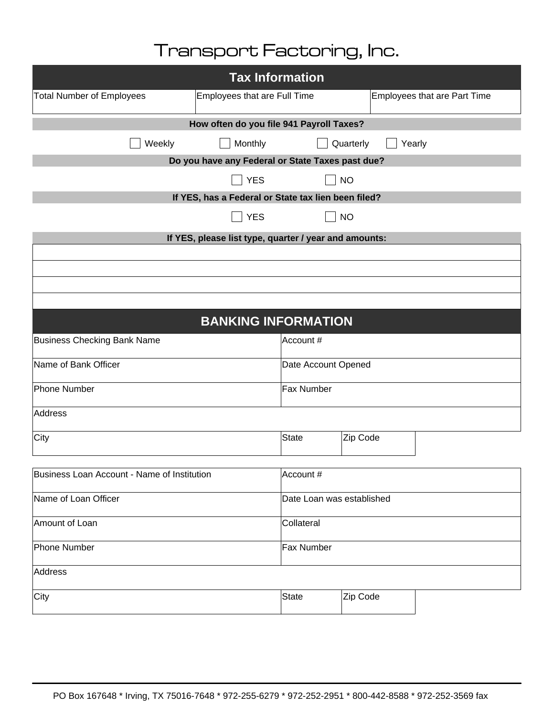# Transport Factoring, Inc.

| <b>Tax Information</b>                              |                                                       |                           |           |                                     |  |
|-----------------------------------------------------|-------------------------------------------------------|---------------------------|-----------|-------------------------------------|--|
| <b>Total Number of Employees</b>                    | Employees that are Full Time                          |                           |           | <b>Employees that are Part Time</b> |  |
| How often do you file 941 Payroll Taxes?            |                                                       |                           |           |                                     |  |
| Weekly                                              | Monthly                                               |                           | Quarterly | Yearly                              |  |
|                                                     | Do you have any Federal or State Taxes past due?      |                           |           |                                     |  |
|                                                     | <b>YES</b>                                            |                           | <b>NO</b> |                                     |  |
| If YES, has a Federal or State tax lien been filed? |                                                       |                           |           |                                     |  |
|                                                     | <b>YES</b>                                            |                           | <b>NO</b> |                                     |  |
|                                                     | If YES, please list type, quarter / year and amounts: |                           |           |                                     |  |
|                                                     |                                                       |                           |           |                                     |  |
|                                                     |                                                       |                           |           |                                     |  |
|                                                     |                                                       |                           |           |                                     |  |
|                                                     |                                                       |                           |           |                                     |  |
|                                                     | <b>BANKING INFORMATION</b>                            |                           |           |                                     |  |
| <b>Business Checking Bank Name</b><br>Account #     |                                                       |                           |           |                                     |  |
| Name of Bank Officer<br>Date Account Opened         |                                                       |                           |           |                                     |  |
| Phone Number                                        | <b>Fax Number</b>                                     |                           |           |                                     |  |
| Address                                             |                                                       |                           |           |                                     |  |
| City                                                |                                                       | State                     | Zip Code  |                                     |  |
|                                                     |                                                       |                           |           |                                     |  |
| Business Loan Account - Name of Institution         |                                                       | Account #                 |           |                                     |  |
| Name of Loan Officer                                |                                                       | Date Loan was established |           |                                     |  |
| Amount of Loan                                      |                                                       | Collateral                |           |                                     |  |
| Phone Number                                        |                                                       | Fax Number                |           |                                     |  |
| Address                                             |                                                       |                           |           |                                     |  |
| City                                                |                                                       | State                     | Zip Code  |                                     |  |
|                                                     |                                                       |                           |           |                                     |  |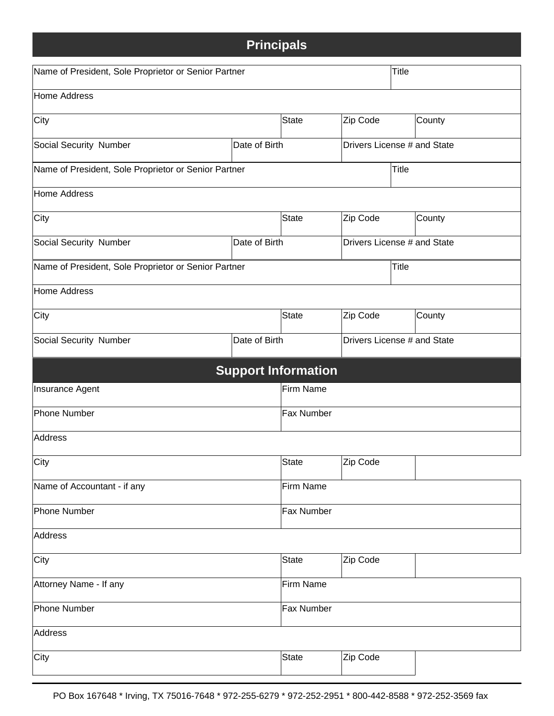## **Principals**

| Name of President, Sole Proprietor or Senior Partner |                                              |                            |                             | <b>Title</b>                |        |
|------------------------------------------------------|----------------------------------------------|----------------------------|-----------------------------|-----------------------------|--------|
| Home Address                                         |                                              |                            |                             |                             |        |
| City                                                 |                                              | State                      | Zip Code                    |                             | County |
| Social Security Number                               | Date of Birth<br>Drivers License # and State |                            |                             |                             |        |
| Name of President, Sole Proprietor or Senior Partner |                                              | Title                      |                             |                             |        |
| Home Address                                         |                                              |                            |                             |                             |        |
| City                                                 |                                              | State                      | Zip Code<br>County          |                             |        |
| Social Security Number                               | Date of Birth                                |                            |                             | Drivers License # and State |        |
| Name of President, Sole Proprietor or Senior Partner |                                              |                            |                             | Title                       |        |
| Home Address                                         |                                              |                            |                             |                             |        |
| City                                                 |                                              | State                      | Zip Code                    |                             | County |
| Social Security Number                               | Date of Birth                                |                            | Drivers License # and State |                             |        |
|                                                      |                                              | <b>Support Information</b> |                             |                             |        |
| Insurance Agent                                      |                                              | Firm Name                  |                             |                             |        |
| Phone Number                                         |                                              | <b>Fax Number</b>          |                             |                             |        |
| Address                                              |                                              |                            |                             |                             |        |
| City                                                 |                                              | State                      | Zip Code                    |                             |        |
| Name of Accountant - if any                          | Firm Name                                    |                            |                             |                             |        |
| Phone Number                                         |                                              | <b>Fax Number</b>          |                             |                             |        |
| Address                                              |                                              |                            |                             |                             |        |
| City                                                 |                                              | State                      | Zip Code                    |                             |        |
| Attorney Name - If any                               |                                              | Firm Name                  |                             |                             |        |
| Phone Number                                         |                                              | <b>Fax Number</b>          |                             |                             |        |
| Address                                              |                                              |                            |                             |                             |        |
| City                                                 |                                              | <b>State</b>               | Zip Code                    |                             |        |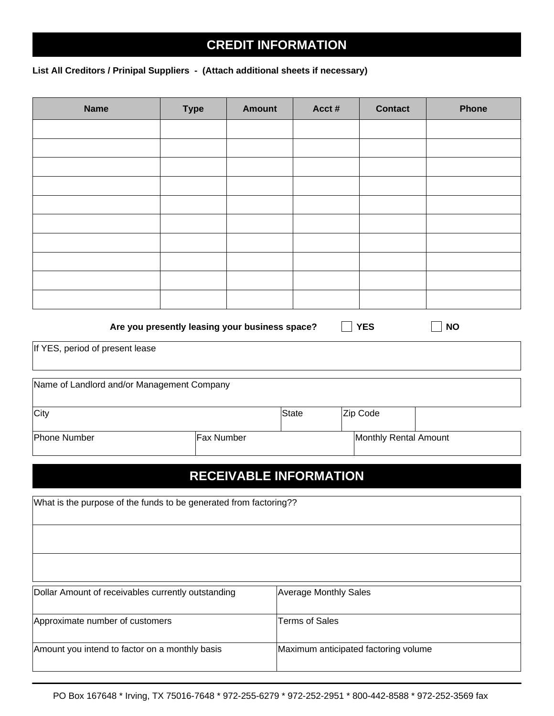### **CREDIT INFORMATION**

#### **List All Creditors / Prinipal Suppliers - (Attach additional sheets if necessary)**

Г

| <b>Name</b>                                                                        | <b>Type</b>                                    | <b>Amount</b> | Acct#                                | <b>Contact</b>        | <b>Phone</b> |
|------------------------------------------------------------------------------------|------------------------------------------------|---------------|--------------------------------------|-----------------------|--------------|
|                                                                                    |                                                |               |                                      |                       |              |
|                                                                                    |                                                |               |                                      |                       |              |
|                                                                                    |                                                |               |                                      |                       |              |
|                                                                                    |                                                |               |                                      |                       |              |
|                                                                                    |                                                |               |                                      |                       |              |
|                                                                                    |                                                |               |                                      |                       |              |
|                                                                                    |                                                |               |                                      |                       |              |
|                                                                                    |                                                |               |                                      |                       |              |
|                                                                                    |                                                |               |                                      |                       |              |
|                                                                                    |                                                |               |                                      |                       |              |
|                                                                                    |                                                |               |                                      |                       |              |
|                                                                                    |                                                |               |                                      |                       |              |
|                                                                                    | Are you presently leasing your business space? |               |                                      | <b>YES</b>            | <b>NO</b>    |
| If YES, period of present lease                                                    |                                                |               |                                      |                       |              |
|                                                                                    |                                                |               |                                      |                       |              |
| Name of Landlord and/or Management Company                                         |                                                |               |                                      |                       |              |
|                                                                                    |                                                |               |                                      |                       |              |
| City                                                                               |                                                |               | <b>State</b>                         | Zip Code              |              |
|                                                                                    |                                                |               |                                      |                       |              |
| Phone Number                                                                       | Fax Number                                     |               |                                      | Monthly Rental Amount |              |
|                                                                                    |                                                |               |                                      |                       |              |
|                                                                                    |                                                |               | <b>RECEIVABLE INFORMATION</b>        |                       |              |
|                                                                                    |                                                |               |                                      |                       |              |
| What is the purpose of the funds to be generated from factoring??                  |                                                |               |                                      |                       |              |
|                                                                                    |                                                |               |                                      |                       |              |
|                                                                                    |                                                |               |                                      |                       |              |
|                                                                                    |                                                |               |                                      |                       |              |
|                                                                                    |                                                |               |                                      |                       |              |
| Dollar Amount of receivables currently outstanding<br><b>Average Monthly Sales</b> |                                                |               |                                      |                       |              |
|                                                                                    |                                                |               |                                      |                       |              |
| Approximate number of customers                                                    |                                                |               | <b>Terms of Sales</b>                |                       |              |
|                                                                                    |                                                |               |                                      |                       |              |
| Amount you intend to factor on a monthly basis                                     |                                                |               | Maximum anticipated factoring volume |                       |              |
|                                                                                    |                                                |               |                                      |                       |              |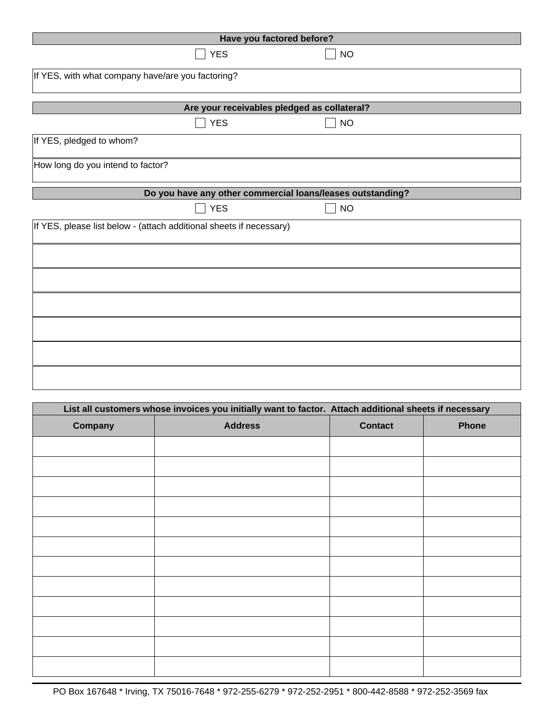| Have you factored before?                                           |           |  |  |  |
|---------------------------------------------------------------------|-----------|--|--|--|
| <b>YES</b>                                                          | <b>NO</b> |  |  |  |
| If YES, with what company have/are you factoring?                   |           |  |  |  |
| Are your receivables pledged as collateral?                         |           |  |  |  |
| <b>YES</b>                                                          | <b>NO</b> |  |  |  |
| If YES, pledged to whom?                                            |           |  |  |  |
| How long do you intend to factor?                                   |           |  |  |  |
| Do you have any other commercial loans/leases outstanding?          |           |  |  |  |
| <b>YES</b>                                                          | <b>NO</b> |  |  |  |
| If YES, please list below - (attach additional sheets if necessary) |           |  |  |  |
|                                                                     |           |  |  |  |
|                                                                     |           |  |  |  |
|                                                                     |           |  |  |  |
|                                                                     |           |  |  |  |
|                                                                     |           |  |  |  |
|                                                                     |           |  |  |  |
|                                                                     |           |  |  |  |
|                                                                     |           |  |  |  |
|                                                                     |           |  |  |  |

| List all customers whose invoices you initially want to factor. Attach additional sheets if necessary |                |                |       |  |
|-------------------------------------------------------------------------------------------------------|----------------|----------------|-------|--|
| Company                                                                                               | <b>Address</b> | <b>Contact</b> | Phone |  |
|                                                                                                       |                |                |       |  |
|                                                                                                       |                |                |       |  |
|                                                                                                       |                |                |       |  |
|                                                                                                       |                |                |       |  |
|                                                                                                       |                |                |       |  |
|                                                                                                       |                |                |       |  |
|                                                                                                       |                |                |       |  |
|                                                                                                       |                |                |       |  |
|                                                                                                       |                |                |       |  |
|                                                                                                       |                |                |       |  |
|                                                                                                       |                |                |       |  |
|                                                                                                       |                |                |       |  |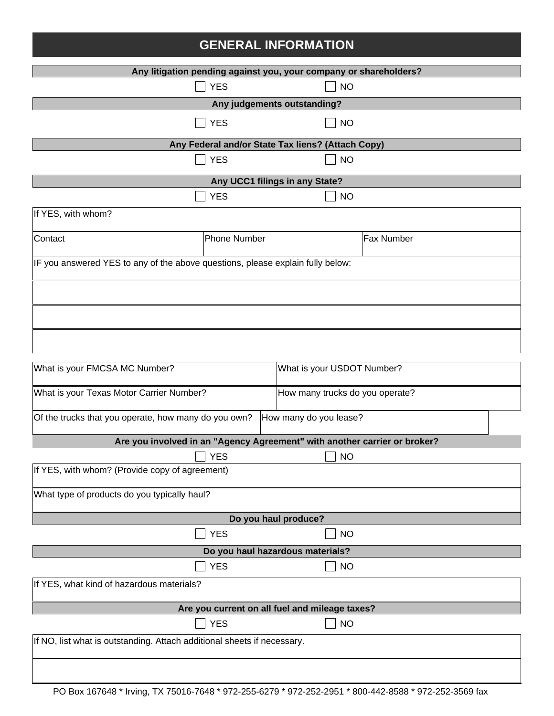## **GENERAL INFORMATION**

| Any litigation pending against you, your company or shareholders?              |                                                                             |                                                   |            |  |
|--------------------------------------------------------------------------------|-----------------------------------------------------------------------------|---------------------------------------------------|------------|--|
|                                                                                | <b>YES</b>                                                                  | <b>NO</b>                                         |            |  |
|                                                                                |                                                                             | Any judgements outstanding?                       |            |  |
|                                                                                | <b>YES</b>                                                                  | <b>NO</b>                                         |            |  |
|                                                                                |                                                                             | Any Federal and/or State Tax liens? (Attach Copy) |            |  |
|                                                                                | <b>YES</b>                                                                  | <b>NO</b>                                         |            |  |
|                                                                                |                                                                             | Any UCC1 filings in any State?                    |            |  |
|                                                                                | <b>YES</b>                                                                  | <b>NO</b>                                         |            |  |
| If YES, with whom?                                                             |                                                                             |                                                   |            |  |
| Contact                                                                        | <b>Phone Number</b>                                                         |                                                   | Fax Number |  |
| IF you answered YES to any of the above questions, please explain fully below: |                                                                             |                                                   |            |  |
|                                                                                |                                                                             |                                                   |            |  |
|                                                                                |                                                                             |                                                   |            |  |
|                                                                                |                                                                             |                                                   |            |  |
| What is your FMCSA MC Number?                                                  |                                                                             | What is your USDOT Number?                        |            |  |
|                                                                                | What is your Texas Motor Carrier Number?<br>How many trucks do you operate? |                                                   |            |  |
| Of the trucks that you operate, how many do you own?                           |                                                                             | How many do you lease?                            |            |  |
| Are you involved in an "Agency Agreement" with another carrier or broker?      |                                                                             |                                                   |            |  |
|                                                                                | $\Box$ YES                                                                  | $\overline{\phantom{a}}$ NO                       |            |  |
| If YES, with whom? (Provide copy of agreement)                                 |                                                                             |                                                   |            |  |
|                                                                                | What type of products do you typically haul?                                |                                                   |            |  |
| Do you haul produce?                                                           |                                                                             |                                                   |            |  |
|                                                                                | <b>YES</b>                                                                  | <b>NO</b>                                         |            |  |
| Do you haul hazardous materials?                                               |                                                                             |                                                   |            |  |
|                                                                                | <b>YES</b>                                                                  | <b>NO</b>                                         |            |  |
| If YES, what kind of hazardous materials?                                      |                                                                             |                                                   |            |  |
| Are you current on all fuel and mileage taxes?                                 |                                                                             |                                                   |            |  |
|                                                                                | <b>YES</b>                                                                  | <b>NO</b>                                         |            |  |
| If NO, list what is outstanding. Attach additional sheets if necessary.        |                                                                             |                                                   |            |  |
|                                                                                |                                                                             |                                                   |            |  |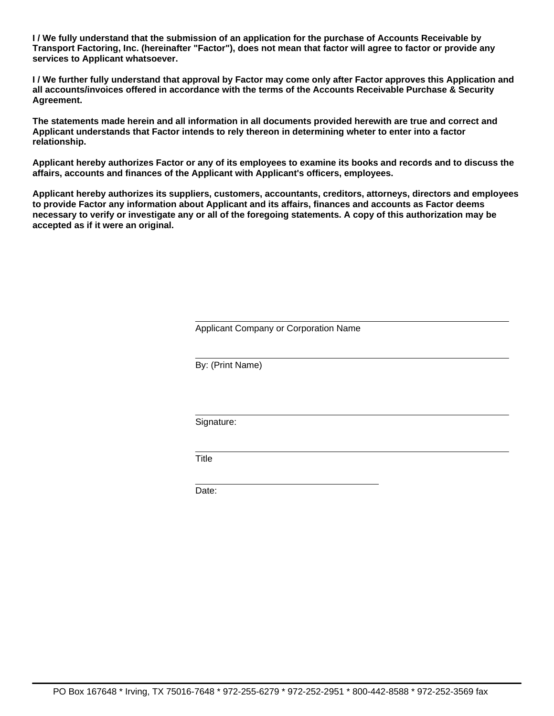**I / We fully understand that the submission of an application for the purchase of Accounts Receivable by Transport Factoring, Inc. (hereinafter "Factor"), does not mean that factor will agree to factor or provide any services to Applicant whatsoever.**

**I / We further fully understand that approval by Factor may come only after Factor approves this Application and all accounts/invoices offered in accordance with the terms of the Accounts Receivable Purchase & Security Agreement.**

**The statements made herein and all information in all documents provided herewith are true and correct and Applicant understands that Factor intends to rely thereon in determining wheter to enter into a factor relationship.**

**Applicant hereby authorizes Factor or any of its employees to examine its books and records and to discuss the affairs, accounts and finances of the Applicant with Applicant's officers, employees.**

**Applicant hereby authorizes its suppliers, customers, accountants, creditors, attorneys, directors and employees to provide Factor any information about Applicant and its affairs, finances and accounts as Factor deems necessary to verify or investigate any or all of the foregoing statements. A copy of this authorization may be accepted as if it were an original.**

Applicant Company or Corporation Name

By: (Print Name)

Signature:

**Title** 

Date: